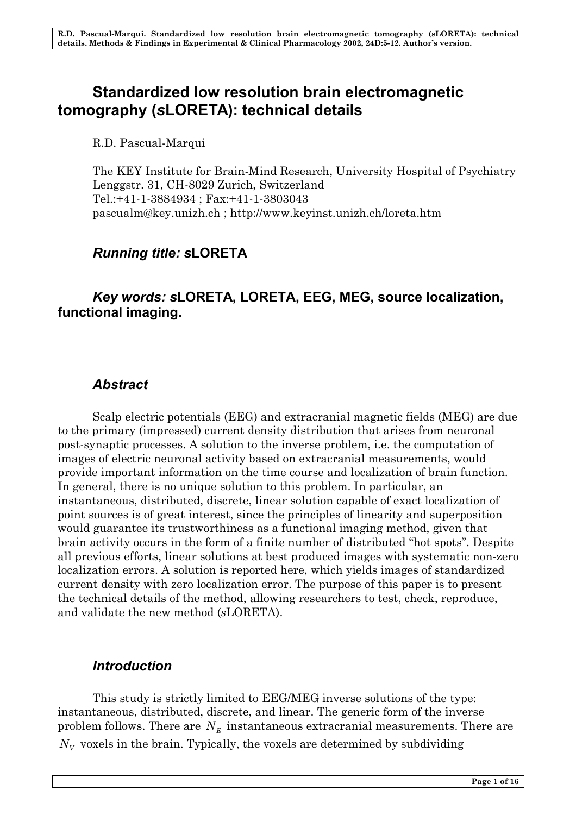# **Standardized low resolution brain electromagnetic tomography (***s***LORETA): technical details**

R.D. Pascual-Marqui

The KEY Institute for Brain-Mind Research, University Hospital of Psychiatry Lenggstr. 31, CH-8029 Zurich, Switzerland Tel.:+41-1-3884934 ; Fax:+41-1-3803043 pascualm@key.unizh.ch ; http://www.keyinst.unizh.ch/loreta.htm

# *Running title: s***LORETA**

## *Key words: s***LORETA, LORETA, EEG, MEG, source localization, functional imaging.**

## *Abstract*

Scalp electric potentials (EEG) and extracranial magnetic fields (MEG) are due to the primary (impressed) current density distribution that arises from neuronal post-synaptic processes. A solution to the inverse problem, i.e. the computation of images of electric neuronal activity based on extracranial measurements, would provide important information on the time course and localization of brain function. In general, there is no unique solution to this problem. In particular, an instantaneous, distributed, discrete, linear solution capable of exact localization of point sources is of great interest, since the principles of linearity and superposition would guarantee its trustworthiness as a functional imaging method, given that brain activity occurs in the form of a finite number of distributed "hot spots". Despite all previous efforts, linear solutions at best produced images with systematic non-zero localization errors. A solution is reported here, which yields images of standardized current density with zero localization error. The purpose of this paper is to present the technical details of the method, allowing researchers to test, check, reproduce, and validate the new method (*s*LORETA).

## *Introduction*

This study is strictly limited to EEG/MEG inverse solutions of the type: instantaneous, distributed, discrete, and linear. The generic form of the inverse problem follows. There are  $N_{\scriptscriptstyle E}$  instantaneous extracranial measurements. There are  $N_{\rm\scriptscriptstyle V}$  voxels in the brain. Typically, the voxels are determined by subdividing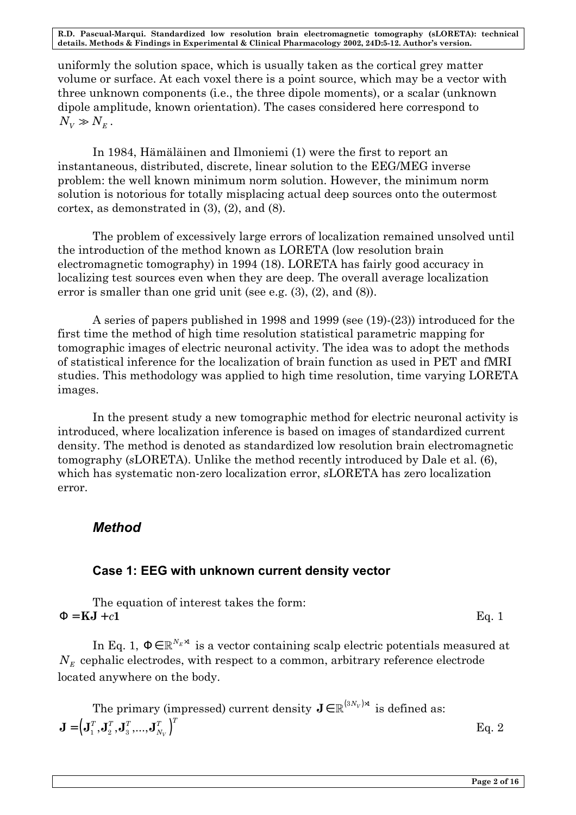uniformly the solution space, which is usually taken as the cortical grey matter volume or surface. At each voxel there is a point source, which may be a vector with three unknown components (i.e., the three dipole moments), or a scalar (unknown dipole amplitude, known orientation). The cases considered here correspond to  $N_{V} \gg N_{F}$ .

In 1984, Hämäläinen and Ilmoniemi (1) were the first to report an instantaneous, distributed, discrete, linear solution to the EEG/MEG inverse problem: the well known minimum norm solution. However, the minimum norm solution is notorious for totally misplacing actual deep sources onto the outermost cortex, as demonstrated in (3), (2), and (8).

The problem of excessively large errors of localization remained unsolved until the introduction of the method known as LORETA (low resolution brain electromagnetic tomography) in 1994 (18). LORETA has fairly good accuracy in localizing test sources even when they are deep. The overall average localization error is smaller than one grid unit (see e.g. (3), (2), and (8)).

A series of papers published in 1998 and 1999 (see (19)-(23)) introduced for the first time the method of high time resolution statistical parametric mapping for tomographic images of electric neuronal activity. The idea was to adopt the methods of statistical inference for the localization of brain function as used in PET and fMRI studies. This methodology was applied to high time resolution, time varying LORETA images.

In the present study a new tomographic method for electric neuronal activity is introduced, where localization inference is based on images of standardized current density. The method is denoted as standardized low resolution brain electromagnetic tomography (*s*LORETA). Unlike the method recently introduced by Dale et al. (6), which has systematic non-zero localization error, *s*LORETA has zero localization error.

## *Method*

## **Case 1: EEG with unknown current density vector**

The equation of interest takes the form:  $\mathbf{F} = \mathbf{KJ} + c\mathbf{1}$  Eq. 1

In Eq. 1,  $\mathbf{F} \in \mathbb{R}^{N_E \times 1}$  is a vector containing scalp electric potentials measured at  $N_E$  cephalic electrodes, with respect to a common, arbitrary reference electrode located anywhere on the body.

The primary (impressed) current density  $\mathbf{J} \in \mathbb{R}^{(3{N_V})\!\times\!1}$  is defined as:  $J = (\mathbf{J}_1^T, \mathbf{J}_2^T, \mathbf{J}_3^T, ..., \mathbf{J}_{N_V}^T)^T$  Eq. 2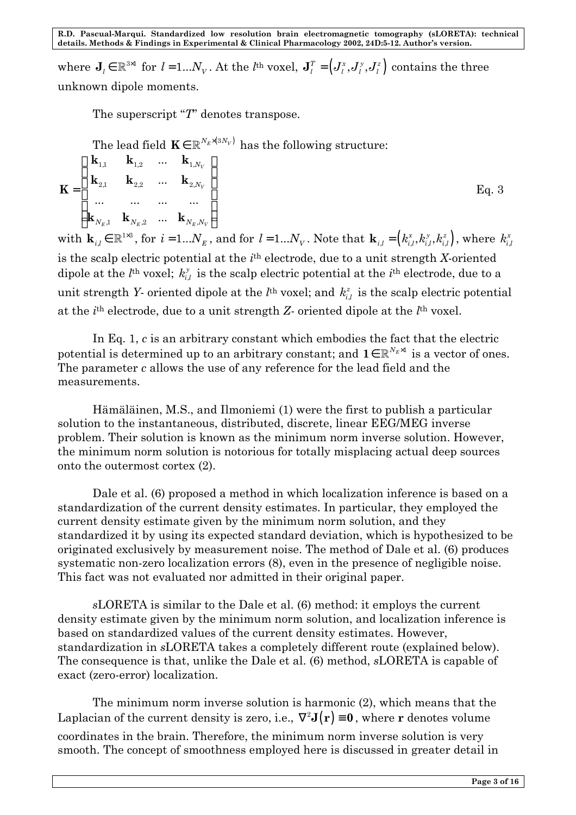where  $J_i \in \mathbb{R}^{3\times 1}$  for  $l = 1...N_v$ . At the *l*<sup>th</sup> voxel,  $J_i^T = (J_i^x, J_i^y, J_i^z)$  contains the three unknown dipole moments.

The superscript "*T*" denotes transpose.

The lead field  $\mathbf{K} \in \mathbb{R}^{N_E \times (3N_V)}$  has the following structure:

$$
\mathbf{K} = \begin{pmatrix} \mathbf{k}_{1,1} & \mathbf{k}_{1,2} & \dots & \mathbf{k}_{1,N_V} \\ \mathbf{k}_{2,1} & \mathbf{k}_{2,2} & \dots & \mathbf{k}_{2,N_V} \\ \dots & \dots & \dots & \dots \\ \mathbf{k}_{N_E,1} & \mathbf{k}_{N_E,2} & \dots & \mathbf{k}_{N_E,N_V} \end{pmatrix}
$$
 Eq. 3

with  $\mathbf{k}_{i,l} \in \mathbb{R}^{1\times3}$ , for  $i = 1...N_E$ , and for  $l = 1...N_V$ . Note that  $\mathbf{k}_{i,l} = (k_{i,l}^x, k_{i,l}^y, k_{i,l}^z)$ , where  $k_{i,l}^x$  $k_{i,l}^x$ is the scalp electric potential at the *i*<sup>th</sup> electrode, due to a unit strength *X*-oriented dipole at the  $l^{\text{th}}$  voxel;  $k_i^{\text{y}}$  $k_{i,l}^y$  is the scalp electric potential at the *i*<sup>th</sup> electrode, due to a unit strength *Y*- oriented dipole at the  $l^{\text{th}}$  voxel; and  $k_{i,j}^z$  $k_{i,l}^z$  is the scalp electric potential at the *i*<sup>th</sup> electrode, due to a unit strength *Z*- oriented dipole at the *l*<sup>th</sup> voxel.

In Eq. 1, *c* is an arbitrary constant which embodies the fact that the electric potential is determined up to an arbitrary constant; and  $\mathbf{1} \in \mathbb{R}^{N_E \times 1}$  is a vector of ones. The parameter *c* allows the use of any reference for the lead field and the measurements.

Hämäläinen, M.S., and Ilmoniemi (1) were the first to publish a particular solution to the instantaneous, distributed, discrete, linear EEG/MEG inverse problem. Their solution is known as the minimum norm inverse solution. However, the minimum norm solution is notorious for totally misplacing actual deep sources onto the outermost cortex (2).

Dale et al. (6) proposed a method in which localization inference is based on a standardization of the current density estimates. In particular, they employed the current density estimate given by the minimum norm solution, and they standardized it by using its expected standard deviation, which is hypothesized to be originated exclusively by measurement noise. The method of Dale et al. (6) produces systematic non-zero localization errors (8), even in the presence of negligible noise. This fact was not evaluated nor admitted in their original paper.

*s*LORETA is similar to the Dale et al. (6) method: it employs the current density estimate given by the minimum norm solution, and localization inference is based on standardized values of the current density estimates. However, standardization in *s*LORETA takes a completely different route (explained below). The consequence is that, unlike the Dale et al. (6) method, *s*LORETA is capable of exact (zero-error) localization.

The minimum norm inverse solution is harmonic (2), which means that the Laplacian of the current density is zero, i.e.,  $\nabla^2 \mathbf{J}(\mathbf{r}) \equiv \mathbf{0}$ , where **r** denotes volume coordinates in the brain. Therefore, the minimum norm inverse solution is very smooth. The concept of smoothness employed here is discussed in greater detail in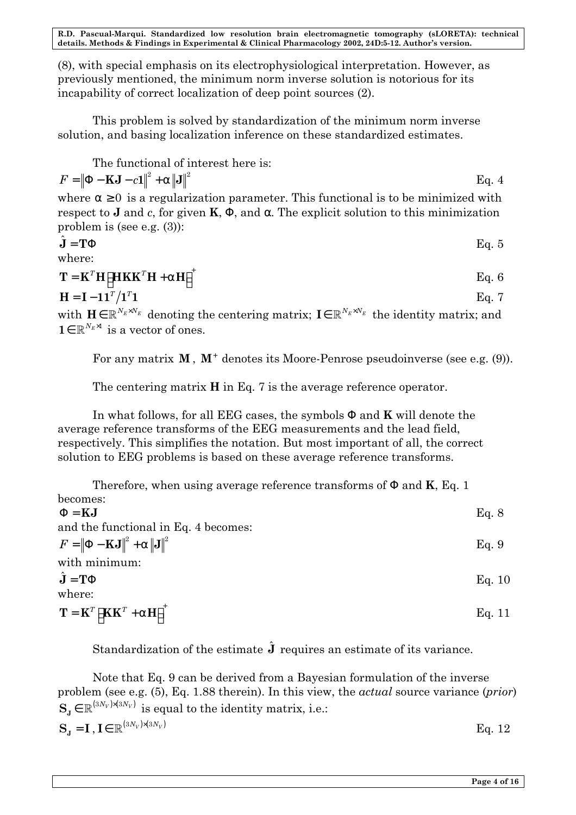(8), with special emphasis on its electrophysiological interpretation. However, as previously mentioned, the minimum norm inverse solution is notorious for its incapability of correct localization of deep point sources (2).

This problem is solved by standardization of the minimum norm inverse solution, and basing localization inference on these standardized estimates.

The functional of interest here is:

$$
F = \left\| \mathbf{F} - \mathbf{K} \mathbf{J} - c \mathbf{1} \right\|^2 + \mathbf{a} \left\| \mathbf{J} \right\|^2
$$
 Eq. 4

where  $a \ge 0$  is a regularization parameter. This functional is to be minimized with respect to **J** and *c*, for given **K**, **F**, and *a*. The explicit solution to this minimization problem is (see e.g. (3)):

$$
\hat{\mathbf{J}} = \mathbf{T} \mathbf{F} \qquad \qquad \text{Eq. 5}
$$

where:

$$
\mathbf{T} = \mathbf{K}^T \mathbf{H} \left[ \mathbf{HKK}^T \mathbf{H} + \mathbf{a} \mathbf{H} \right]^+
$$
 Eq. 6

$$
\mathbf{H} = \mathbf{I} - \mathbf{1}\mathbf{1}^T / \mathbf{1}^T \mathbf{1} \tag{Eq. 7}
$$

with  $\mathbf{H} \in \mathbb{R}^{N_E \times N_E}$  denoting the centering matrix;  $\mathbf{I} \in \mathbb{R}^{N_E \times N_E}$  the identity matrix; and **1**∈  $\mathbb{R}^{N_E \times 1}$  is a vector of ones.

For any matrix **M**, **M**<sup>+</sup> denotes its Moore-Penrose pseudoinverse (see e.g. (9)).

The centering matrix **H** in Eq. 7 is the average reference operator.

In what follows, for all EEG cases, the symbols **F** and **K** will denote the average reference transforms of the EEG measurements and the lead field, respectively. This simplifies the notation. But most important of all, the correct solution to EEG problems is based on these average reference transforms.

| Therefore, when using average reference transforms of $\bf{F}$ and $\bf{K}$ , Eq. 1 |       |  |
|-------------------------------------------------------------------------------------|-------|--|
| becomes:                                                                            |       |  |
| $F = KJ$                                                                            | Eq. 8 |  |
| and the functional in Eq. 4 becomes:                                                |       |  |

 $F = ||\mathbf{F} - \mathbf{KJ}||^2 + a||\mathbf{J}||^2$  Eq. 9 with minimum:  $\hat{\mathbf{J}} = \mathbf{T} \mathbf{F}$  Eq. 10 where:

 $\mathbf{T} = \mathbf{K}^T \left[ \mathbf{K} \mathbf{K}^T + \mathbf{a} \mathbf{H} \right]^+$  Eq. 11

Standardization of the estimate  $\hat{\mathbf{J}}$  requires an estimate of its variance.

Note that Eq. 9 can be derived from a Bayesian formulation of the inverse problem (see e.g. (5), Eq. 1.88 therein). In this view, the *actual* source variance (*prior*)  $S_{\mathbf{x}} \in \mathbb{R}^{(3N_V)\times(3N_V)}$  is equal to the identity matrix, i.e.:

| $\mathbf{S}_{\mathbf{J}} = \mathbf{I}$ , $\mathbf{I} \in \mathbb{R}^{(3N_V)\times(3N_V)}$ | Eq. 12 |
|-------------------------------------------------------------------------------------------|--------|
|-------------------------------------------------------------------------------------------|--------|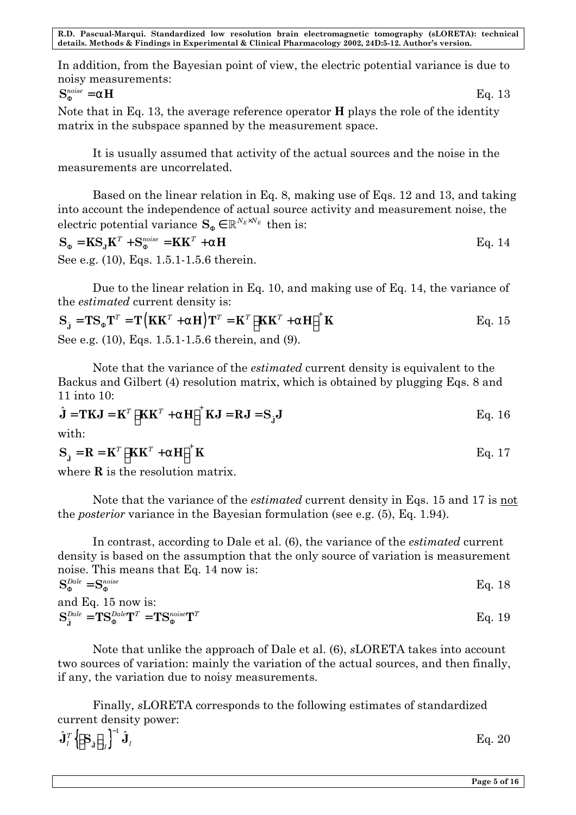In addition, from the Bayesian point of view, the electric potential variance is due to noisy measurements:

$$
\mathbf{S}_{\mathbf{F}}^{noise} = \mathbf{a}\mathbf{H} \tag{Eq. 13}
$$

Note that in Eq. 13, the average reference operator **H** plays the role of the identity matrix in the subspace spanned by the measurement space.

It is usually assumed that activity of the actual sources and the noise in the measurements are uncorrelated.

Based on the linear relation in Eq. 8, making use of Eqs. 12 and 13, and taking into account the independence of actual source activity and measurement noise, the electric potential variance  $S_{\mathbf{F}} \in \mathbb{R}^{N_E \times N_E}$  then is:

$$
\mathbf{S}_{\mathbf{F}} = \mathbf{K} \mathbf{S}_{\mathbf{J}} \mathbf{K}^T + \mathbf{S}_{\mathbf{F}}^{noise} = \mathbf{K} \mathbf{K}^T + \mathbf{a} \mathbf{H}
$$
  
Eq. 14

See e.g. (10), Eqs. 1.5.1-1.5.6 therein.

Due to the linear relation in Eq. 10, and making use of Eq. 14, the variance of the *estimated* current density is:

$$
\mathbf{S}_{\hat{\mathbf{j}}} = \mathbf{T} \mathbf{S}_{\mathbf{F}} \mathbf{T}^T = \mathbf{T} \left( \mathbf{K} \mathbf{K}^T + \mathbf{a} \mathbf{H} \right) \mathbf{T}^T = \mathbf{K}^T \left[ \mathbf{K} \mathbf{K}^T + \mathbf{a} \mathbf{H} \right]^+ \mathbf{K}
$$
 Eq. 15  
See e.g. (10), Eqs. 1.5.1-1.5.6 therein, and (9).

Note that the variance of the *estimated* current density is equivalent to the Backus and Gilbert (4) resolution matrix, which is obtained by plugging Eqs. 8 and 11 into 10:

$$
\hat{\mathbf{J}} = \mathbf{T} \mathbf{K} \mathbf{J} = \mathbf{K}^T \left[ \mathbf{K} \mathbf{K}^T + \mathbf{a} \mathbf{H} \right]^+ \mathbf{K} \mathbf{J} = \mathbf{R} \mathbf{J} = \mathbf{S}_{\hat{\mathbf{J}}} \mathbf{J}
$$
 Eq. 16  
with:

$$
\mathbf{S}_{\hat{\mathbf{j}}} = \mathbf{R} = \mathbf{K}^T \left[ \mathbf{K} \mathbf{K}^T + \mathbf{a} \mathbf{H} \right]^+ \mathbf{K}
$$
 Eq. 17

where **R** is the resolution matrix.

Note that the variance of the *estimated* current density in Eqs. 15 and 17 is not the *posterior* variance in the Bayesian formulation (see e.g. (5), Eq. 1.94).

In contrast, according to Dale et al. (6), the variance of the *estimated* current density is based on the assumption that the only source of variation is measurement noise. This means that Eq. 14 now is:

| $S_{\mathbf{F}}^{Dale} = S_{\mathbf{F}}^{noise}$                                                                                                      | Eq. 18 |
|-------------------------------------------------------------------------------------------------------------------------------------------------------|--------|
| and Eq. $15$ now is:                                                                                                                                  |        |
| $\mathbf{S}_{\hat{\mathbf{r}}}^{Dale}=\mathbf{T}\mathbf{S}_{\mathbf{F}}^{Dale}\mathbf{T}^{T}=\mathbf{T}\mathbf{S}_{\mathbf{F}}^{noise}\mathbf{T}^{T}$ | Eq. 19 |

Note that unlike the approach of Dale et al. (6), *s*LORETA takes into account two sources of variation: mainly the variation of the actual sources, and then finally, if any, the variation due to noisy measurements.

Finally, *s*LORETA corresponds to the following estimates of standardized current density power:

 $\{ {\bf S}_{\hat{\mathbf{j}}} \mid_n \}$ 1  $\hat{\mathbf{J}}_{l}^{T}\big\{\!\!\left\lceil \mathbf{S}_{\hat{\mathbf{j}}}\,\right\rceil \!\!_{n}\big\}^{-1}\hat{\mathbf{J}}$  $\iota$   $\lfloor$   $\cup$   $\iota$   $\rfloor$   $\lfloor$   $\iota$   $\rfloor$  $\hat{\mathbf{J}}_{l}^{T}\Bigl\{\!\!\left[\mathbf{S}_{\mathbf{j}}\right]_{ll}\!\!\right\}^{-1}\hat{\mathbf{J}}_{l}$  Eq. 20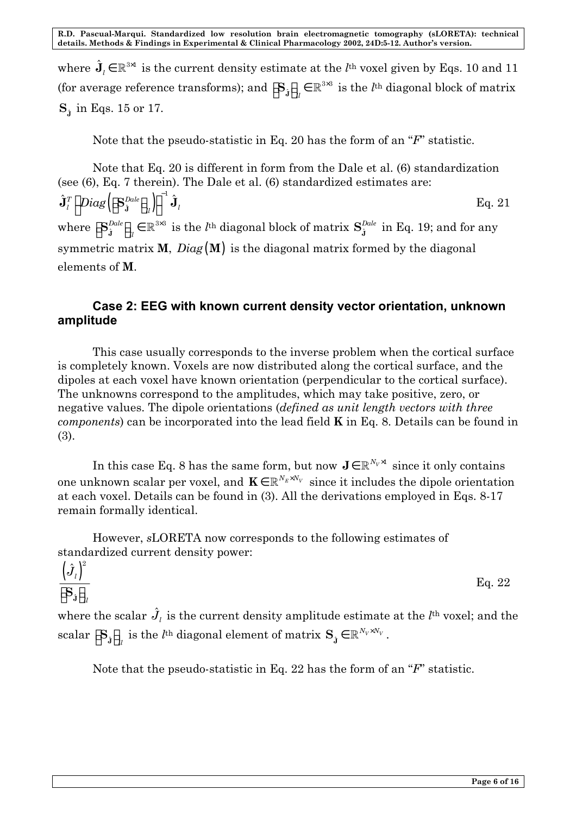where  $\hat{\mathbf{J}}_l \in \mathbb{R}^{3 \times 1}$  is the current density estimate at the *l*<sup>th</sup> voxel given by Eqs. 10 and 11 (for average reference transforms); and  $\left[\mathbf{S}_{\mathbf{j}}\right]_{ll}\in\mathbb{R}^{3\times3}$  $\left[\mathbf{S}_{\hat{\mathbf{j}}}\right]_{ll} \in \mathbb{R}^{3 \times 3}$  is the *l*<sup>th</sup> diagonal block of matrix  $\mathbf{S}_{\hat{\text{\j}}}% \text{ is a function of }\mathbf{S}_{\hat{\text{\j}}}%$  in Eqs. 15 or 17.

Note that the pseudo-statistic in Eq. 20 has the form of an "*F*" statistic.

Note that Eq. 20 is different in form from the Dale et al. (6) standardization (see (6), Eq. 7 therein). The Dale et al. (6) standardized estimates are:  $\left( \left\| \mathbf{S}_{\hat{\mathbf{j}}}^{Date} \right\|_{n} \right)$ 1  $\hat{\mathbf{J}}_{l}^{T}\Big[\,Diag\big(\!\Big\lceil \mathbf{S}_{\hat{\mathbf{J}}}^{Dale}\big\rceil_{n}\big)\Big\rceil ^{-1}\hat{\mathbf{J}}$  $\hat{\mathbf{J}}_{l}^{T}\bigg[Diag\bigg(\!\big[\mathbf{S}_{\hat{\mathbf{J}}}^{Dale}\big]_{ll}\big)\!\big]\!\bigg]^{-1}\hat{\mathbf{J}}_{l}$  Eq. 21 where  $\left[\mathbf{S}_{\hat{\mathbf{i}}}^{Dale}\right]_{u} \in \mathbb{R}^{3 \times 3}$ *Dale ll*  $\left[\mathbf{S}_{\mathbf{j}}^{Dale}\right]_{ll} \in \mathbb{R}^{3 \times 3}$  is the  $l^{\text{th}}$  diagonal block of matrix  $\mathbf{S}_{\mathbf{j}}^{L}$ *Dale*  $\mathbf{S}_{\hat{\mathbf{j}}}^{\textit{Date}}$  in Eq. 19; and for any symmetric matrix **M**, *Diag* (**M**) is the diagonal matrix formed by the diagonal elements of **M**.

### **Case 2: EEG with known current density vector orientation, unknown amplitude**

This case usually corresponds to the inverse problem when the cortical surface is completely known. Voxels are now distributed along the cortical surface, and the dipoles at each voxel have known orientation (perpendicular to the cortical surface). The unknowns correspond to the amplitudes, which may take positive, zero, or negative values. The dipole orientations (*defined as unit length vectors with three components*) can be incorporated into the lead field **K** in Eq. 8. Details can be found in (3).

In this case Eq. 8 has the same form, but now  $J \in \mathbb{R}^{N_V \times 1}$  since it only contains one unknown scalar per voxel, and  $\mathbf{K} \in \mathbb{R}^{N_E \times N_V}$  since it includes the dipole orientation at each voxel. Details can be found in (3). All the derivations employed in Eqs. 8-17 remain formally identical.

However, *s*LORETA now corresponds to the following estimates of standardized current density power:

$$
\frac{\left(\hat{J}_l\right)^2}{\left[\mathbf{S}_\mathbf{j}\right]_{ll}}
$$
 Eq. 22

where the scalar  $\hat{J}_l$  is the current density amplitude estimate at the  $l^{\text{th}}$  voxel; and the  $\text{scalar } \left[\mathbf{S}_{\hat{\mathbf{j}}}\right]_{ll}$  is the  $l^{\text{th}}$  diagonal element of matrix  $\mathbf{S}_{\hat{\mathbf{j}}} \in \mathbb{R}^{N_V \times N_V}$  .

Note that the pseudo-statistic in Eq. 22 has the form of an "*F*" statistic.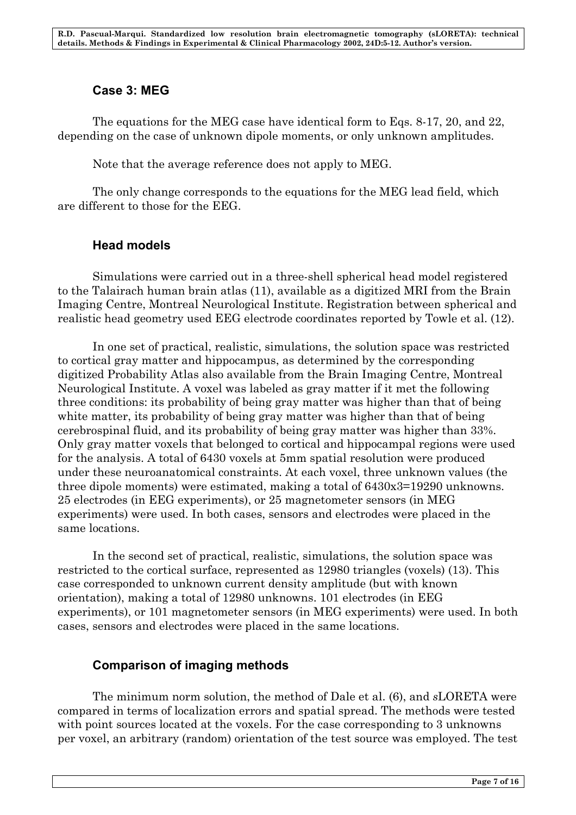### **Case 3: MEG**

The equations for the MEG case have identical form to Eqs. 8-17, 20, and 22, depending on the case of unknown dipole moments, or only unknown amplitudes.

Note that the average reference does not apply to MEG.

The only change corresponds to the equations for the MEG lead field, which are different to those for the EEG.

### **Head models**

Simulations were carried out in a three-shell spherical head model registered to the Talairach human brain atlas (11), available as a digitized MRI from the Brain Imaging Centre, Montreal Neurological Institute. Registration between spherical and realistic head geometry used EEG electrode coordinates reported by Towle et al. (12).

In one set of practical, realistic, simulations, the solution space was restricted to cortical gray matter and hippocampus, as determined by the corresponding digitized Probability Atlas also available from the Brain Imaging Centre, Montreal Neurological Institute. A voxel was labeled as gray matter if it met the following three conditions: its probability of being gray matter was higher than that of being white matter, its probability of being gray matter was higher than that of being cerebrospinal fluid, and its probability of being gray matter was higher than 33%. Only gray matter voxels that belonged to cortical and hippocampal regions were used for the analysis. A total of 6430 voxels at 5mm spatial resolution were produced under these neuroanatomical constraints. At each voxel, three unknown values (the three dipole moments) were estimated, making a total of 6430x3=19290 unknowns. 25 electrodes (in EEG experiments), or 25 magnetometer sensors (in MEG experiments) were used. In both cases, sensors and electrodes were placed in the same locations.

In the second set of practical, realistic, simulations, the solution space was restricted to the cortical surface, represented as 12980 triangles (voxels) (13). This case corresponded to unknown current density amplitude (but with known orientation), making a total of 12980 unknowns. 101 electrodes (in EEG experiments), or 101 magnetometer sensors (in MEG experiments) were used. In both cases, sensors and electrodes were placed in the same locations.

## **Comparison of imaging methods**

The minimum norm solution, the method of Dale et al. (6), and *s*LORETA were compared in terms of localization errors and spatial spread. The methods were tested with point sources located at the voxels. For the case corresponding to 3 unknowns per voxel, an arbitrary (random) orientation of the test source was employed. The test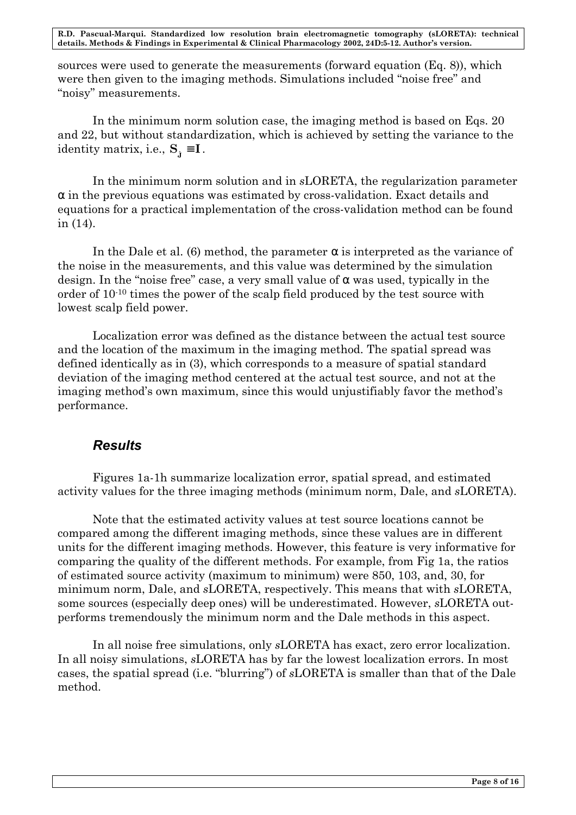sources were used to generate the measurements (forward equation (Eq. 8)), which were then given to the imaging methods. Simulations included "noise free" and "noisy" measurements.

In the minimum norm solution case, the imaging method is based on Eqs. 20 and 22, but without standardization, which is achieved by setting the variance to the identity matrix, i.e.,  $S_{\hat{j}} \equiv I$ .

In the minimum norm solution and in *s*LORETA, the regularization parameter *a* in the previous equations was estimated by cross-validation. Exact details and equations for a practical implementation of the cross-validation method can be found in (14).

In the Dale et al. (6) method, the parameter *a* is interpreted as the variance of the noise in the measurements, and this value was determined by the simulation design. In the "noise free" case, a very small value of *a* was used, typically in the order of 10-10 times the power of the scalp field produced by the test source with lowest scalp field power.

Localization error was defined as the distance between the actual test source and the location of the maximum in the imaging method. The spatial spread was defined identically as in (3), which corresponds to a measure of spatial standard deviation of the imaging method centered at the actual test source, and not at the imaging method's own maximum, since this would unjustifiably favor the method's performance.

#### *Results*

Figures 1a-1h summarize localization error, spatial spread, and estimated activity values for the three imaging methods (minimum norm, Dale, and *s*LORETA).

Note that the estimated activity values at test source locations cannot be compared among the different imaging methods, since these values are in different units for the different imaging methods. However, this feature is very informative for comparing the quality of the different methods. For example, from Fig 1a, the ratios of estimated source activity (maximum to minimum) were 850, 103, and, 30, for minimum norm, Dale, and *s*LORETA, respectively. This means that with *s*LORETA, some sources (especially deep ones) will be underestimated. However, *s*LORETA outperforms tremendously the minimum norm and the Dale methods in this aspect.

In all noise free simulations, only *s*LORETA has exact, zero error localization. In all noisy simulations, *s*LORETA has by far the lowest localization errors. In most cases, the spatial spread (i.e. "blurring") of *s*LORETA is smaller than that of the Dale method.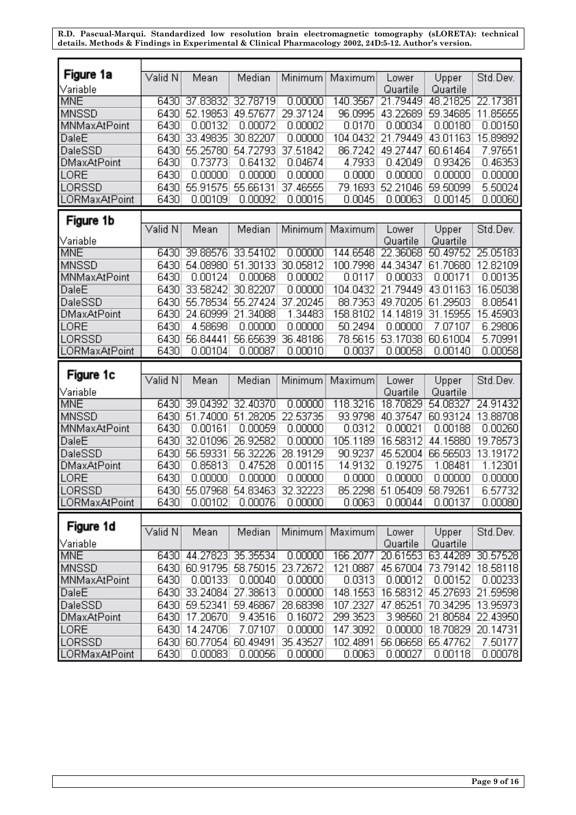| Figure 1a               | Valid N      | Mean                | Median              | Minimum             | Maximum            | Lower                | Upper                | Std.Dev.           |
|-------------------------|--------------|---------------------|---------------------|---------------------|--------------------|----------------------|----------------------|--------------------|
| Variable                |              |                     |                     |                     |                    | Quartile             | Quartile             |                    |
| <b>MNE</b>              | 6430         | 37.83832            | 32.78719            | 0.00000             | 140.3567           | 21.79449             | 48.21825             | 22.17381           |
| MNSSD                   | 6430         | 52.19853            | 49.57677            | 29.37124            | 96.0995            | 43.22689             | 59.34685             | 11.85655           |
| MNMaxAtPoint            | 6430         | 0.00132             | 0.00072             | 0.00002             | 0.0170             | 0.00034              | 0.00180              | 0.00150            |
| DaleE                   | 6430         | 33.49835            | 30.82207            | 0.00000             | 104.0432           | 21.79449             | 43.01163             | 15.89892           |
| DaleSSD                 | 6430         | 55.25780            | 54.72793            | 37.51842            | 86.7242            | 49.27447             | 60.61464             | 7.97651            |
| DMaxAtPoint             | 6430         | 0.73773             | 0.64132             | 0.04674             | 4.7933             | 0.42049              | 0.93426              | 0.46353            |
| LORE                    | 6430         | 0.00000             | 0.00000             | 0.00000             | 0.0000             | 0.00000              | 0.00000              | 0.00000            |
| LORSSD                  | 6430         | 55.91575            | 55.66131            | 37.46555            | 79.1693            | 52.21046             | 59.50099             | 5.50024            |
| LORMaxAtPoint           | 6430         | 0.00109             | 0.00092             | 0.00015             | 0.0045             | 0.00063              | 0.00145              | 0.00060            |
|                         |              |                     |                     |                     |                    |                      |                      |                    |
| Figure 1b               |              |                     |                     |                     |                    |                      |                      |                    |
|                         | Valid N      | Mean                | Median              | Minimum             | Maximum            | Lower                | Upper                | Std.Dev.           |
| Variable                |              |                     |                     |                     |                    | Quartile             | Quartile             |                    |
| <b>MNE</b>              | 6430         | 39.88576            | 33.54102            | 0.00000             | 144.6548           | 22.36068             | 50.49752             | 25.05183           |
| MNSSD                   | 6430         | 54.08980            | 51.30133            | 30.05812            | 100.7998           | 44.34347             | 61.70680             | 12.82109           |
| MNMaxAtPoint            | 6430         | 0.00124             | 0.00068             | 0.00002             | 0.0117             | 0.00033              | 0.00171              | 0.00135            |
| DaleE                   | 6430         | 33.58242            | 30.82207            | 0.00000             | 104.0432           | 21.79449             | 43.01163             | 16.05038           |
| DaleSSD                 | 6430         | 55.78534            | 55.27424            | 37.20245            | 88.7353            | 49.70205             | 61.29503             | 8.08541            |
| DMaxAtPoint             | 6430         | 24.60999            | 21.34088            | 1.34483             | 158.8102           | 14.14819             | 31.15955             | 15.45903           |
| LORE                    | 6430         | 4.58698             | 0.00000             | 0.00000             | 50.2494            | 0.00000              | 7.07107              | 6.29806            |
| LORSSD                  | 6430         | 56.84441            | 56.65639            | 36.48186            | 78.5615            | 53.17038             | 60.61004             | 5.70991            |
| LORMaxAtPoint           | 6430         | 0.00104             | 0.00087             | 0.00010             | 0.0037             | 0.00058              | 0.00140              | 0.00058            |
|                         |              |                     |                     |                     |                    |                      |                      |                    |
|                         |              |                     |                     |                     |                    |                      |                      |                    |
| Figure 1c               |              |                     |                     |                     |                    |                      |                      |                    |
|                         | Valid N      | Mean                | Median              | Minimum             | Maximum            | Lower                | Upper                | Std.Dev.           |
| Variable<br><b>MNE</b>  | 6430         | 39.04392            | 32.40370            | 0.00000             | 118.3216           | Quartile<br>18.70829 | Quartile<br>54.08327 | 24.91432           |
| <b>MNSSD</b>            | 6430         | 51.74000            | 51.28205            | 22.53735            | 93.9798            | 40.37547             | 60.93124             | 13.88708           |
| MNMaxAtPoint            | 6430         | 0.00161             | 0.00059             | 0.00000             | 0.0312             | 0.00021              | 0.00188              | 0.00260            |
|                         | 6430         | 32.01096            | 26.92582            | 0.00000             | 105.1189           | 16.58312             | 44.15880             | 19.78573           |
| DaleE                   |              |                     |                     |                     |                    |                      |                      |                    |
| DaleSSD                 | 6430         | 56.59331            | 56.32226            | 28.19129            | 90.9237            | 45.52004             | 66.56503             | 13.19172           |
| DMaxAtPoint             | 6430         | 0.85813             | 0.47528             | 0.00115             | 14.9132            | 0.19275              | 1.08481              | 1.12301            |
| LORE                    | 6430         | 0.00000             | 0.00000             | 0.00000             | 0.0000             | 0.00000              | 0.00000              | 0.00000            |
| LORSSD                  | 6430         | 55.07968            | 54.83463            | 32.32223            | 85.2298            | 51.05409             | 58.79261             | 6.57732            |
| LORMaxAtPoint           | 6430         | 0.00102             | 0.00076             | 0.00000             | 0.0063             | 0.00044              | 0.00137              | 0.00080            |
|                         |              |                     |                     |                     |                    |                      |                      |                    |
| Figure 1d               | Valid N      | Mean                | Median              | Minimum             | Maximum            | Lower                | Upper                | Std.Dev.           |
| Variable                |              |                     |                     |                     |                    | Quartile             | Quartile             |                    |
| MNE                     | 6430         | 44.27823            | 35.35534            | 0.00000             | 166.2077           | 20.61553             | 63.44289             | 30.57528           |
| <b>MNSSD</b>            | 6430         | 60.91795            | 58.75015            | 23.72672            | 121.0887           | 45.67004             | 73.79142             | 18.58118           |
| MNMaxAtPoint            | 6430         | 0.00133             | 0.00040             | 0.00000             | 0.0313             | 0.00012              | 0.00152              | 0.00233            |
| DaleE                   | 6430         | 33.24084            | 27.38613            | 0.00000             | 148.1553           | 16.58312             | 45.27693             | 21.59598           |
| DaleSSD                 | 6430         | 59.52341            | 59.46867            | 28.68398            | 107.2327           | 47.85251             | 70.34295             | 13.95973           |
| DMaxAtPoint             | 6430         | 17.20670            | 9.43516             | 0.16072             | 299.3523           | 3.98560              | 21.80584             | 22.43950           |
| LORE                    | 6430         | 14.24706            | 7.07107             | 0.00000             | 147.3092           | 0.00000              | 18.70829             | 20.14731           |
| LORSSD<br>LORMaxAtPoint | 6430<br>6430 | 60.77054<br>0.00083 | 60.49491<br>0.00056 | 35.43527<br>0.00000 | 102.4891<br>0.0063 | 56.06658<br>0.00027  | 65.47762<br>0.00118  | 7.50177<br>0.00078 |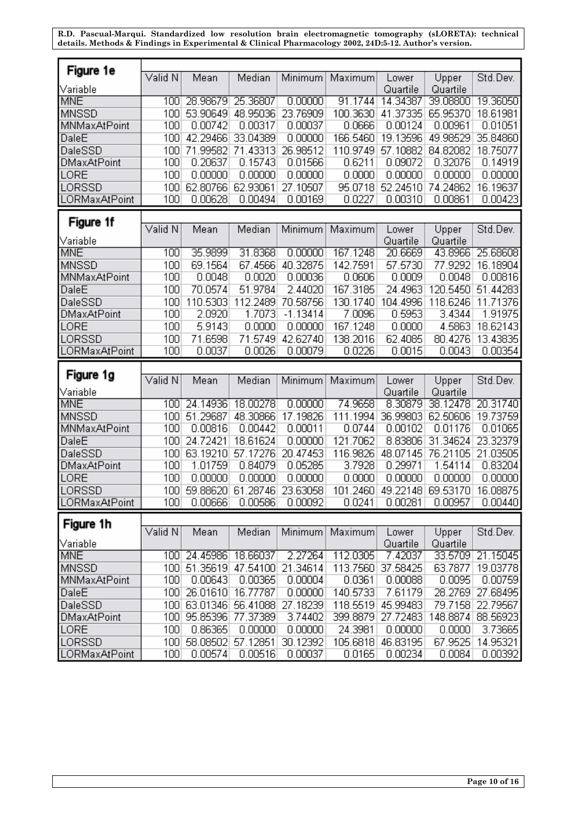| Figure 1e               |            |                              |                            |                     |                    |                     |                                     |                     |
|-------------------------|------------|------------------------------|----------------------------|---------------------|--------------------|---------------------|-------------------------------------|---------------------|
|                         | Valid N    | Mean                         | Median                     | Minimum             | Maximum            | Lower               | Upper                               | Std.Dev.            |
| Variable                |            |                              |                            |                     |                    | Quartile            | Quartile                            |                     |
| <b>MNE</b>              | 100        | 28.98679                     | 25.36807                   | 0.00000             | 91.1744            | 14.34387            | 39.08800                            | 19.36050            |
| <b>MNSSD</b>            | 100        | 53.90649                     | 48.95036                   | 23.76909            | 100.3630           | 41.37335            | 65.95370                            | 18.61981            |
| MNMaxAtPoint            | 100        | 0.00742                      | 0.00317                    | 0.00037             | 0.0666             | 0.00124             | 0.00961                             | 0.01051             |
| DaleE                   | 100        | 42.29466                     | 33.04389                   | 0.00000             | 166.5460           | 19.13596            | 49.98529                            | 35.84860            |
| DaleSSD                 | 100        | 71.99582                     | 71.43313                   | 26.98512            | 110.9749           | 57.10882            | 84.82082                            | 18.75077            |
| <b>DMaxAtPoint</b>      | 100        | 0.20637                      | 0.15743                    | 0.01566             | 0.6211             | 0.09072             | 0.32076                             | 0.14919             |
| LORE                    | 100        | 0.00000                      | 0.00000                    | 0.00000             | 0.0000             | 0.00000             | 0.00000                             | 0.00000             |
| LORSSD                  | 100        | 62.80766                     | 62.93061                   | 27.10507            | 95.0718            | 52.24510            | 74.24862                            | 16.19637            |
| LORMaxAtPoint           | 100        | 0.00628                      | 0.00494                    | 0.00169             | 0.0227             | 0.00310             | 0.00861                             | 0.00423             |
|                         |            |                              |                            |                     |                    |                     |                                     |                     |
| Figure 1f               |            |                              |                            |                     |                    |                     |                                     |                     |
|                         | Valid N    | Mean                         | Median                     | Minimum             | Maximum            | Lower               | Upper                               | Std.Dev.            |
| Variable                |            |                              |                            |                     |                    | Quartile            | Quartile                            |                     |
| <b>MNE</b>              | 100        | 35.9899                      | 31.8368                    | 0.00000             | 167.1248           | 20.6669             | 43.8966                             | 25.68608            |
| <b>MNSSD</b>            | 100        | 69.1564                      | 67.4566                    | 40.32875            | 142.7591           | 57.5730             | 77.9292                             | 16.18904            |
| MNMaxAtPoint            | 100        | 0.0048                       | 0.0020                     | 0.00036             | 0.0606             | 0.0009              | 0.0048                              | 0.00816             |
| DaleE                   | 100        | 70.0574                      | 51.9784                    | 2.44020             | 167.3185           | 24.4963             | 120.5450                            | 51.44283            |
| DaleSSD                 | 100        | 110.5303                     | 112.2489                   | 70.58756            | 130.1740           | 104.4996            | 118.6246                            | 11.71376            |
| DMaxAtPoint             | 100        | 2.0920                       | 1.7073                     | $-1.13414$          | 7.0096             | 0.5953              | 3.4344                              | 1.91975             |
| LORE                    | 100        | 5.9143                       | 0.0000                     | 0.00000             | 167.1248           | 0.0000              | 4.5863                              | 18.62143            |
| LORSSD                  | 100        | 71.6598                      | 71.5749                    | 42.62740            | 138.2016           | 62.4085             | 80.4276                             | 13.43835            |
| LORMaxAtPoint           | 100        | 0.0037                       | 0.0026                     | 0.00079             | 0.0226             | 0.0015              | 0.0043                              | 0.00354             |
|                         |            |                              |                            |                     |                    |                     |                                     |                     |
|                         |            |                              |                            |                     |                    |                     |                                     |                     |
| Figure 1g               |            |                              |                            |                     |                    |                     |                                     |                     |
|                         | Valid N    | Mean                         | Median                     | Minimum             | Maximum            | Lower               | Upper                               | Std.Dev.            |
| Variable                | 100        | 24.14936                     | 18.00278                   | 0.00000             | 74.9658            | Quartile            | Quartile                            |                     |
| <b>MNE</b>              |            |                              |                            |                     |                    | 8.30879             | 38.12478                            | 20.31740            |
| <b>MNSSD</b>            | 100        | 51.29687                     | 48.30866                   | 17.19826            | 111.1994           | 36.99803            | 62.50606                            | 19.73759            |
| MNMaxAtPoint            | 100        | 0.00816                      | 0.00442                    | 0.00011             | 0.0744             | 0.00102             | 0.01176                             | 0.01065             |
| DaleE                   | 100        | 24.72421                     | 18.61624                   | 0.00000             | 121.7062           | 8.83806             | 31.34624                            | 23.32379            |
| DaleSSD                 | 100        | 63.19210                     | 57.17276                   | 20.47453            | 116.9826           | 48.07145            | 76.21105                            | 21.03505            |
| <b>DMaxAtPoint</b>      | 100        | 1.01759                      | 0.84079                    | 0.05285             | 3.7928             | 0.29971             | 1.54114                             | 0.83204             |
| LORE                    | 100        | 0.00000                      | 0.00000                    | 0.00000             | 0.0000             | 0.00000             | 0.00000                             | 0.00000             |
| LORSSD                  | 100        |                              | 59.88620 61.28746 23.63058 |                     |                    |                     | 101.2460 49.22148 69.53170 16.08875 |                     |
| <b>LORMaxAtPoint</b>    | 100        | 0.00666                      | 0.00586                    | 0.00092             | 0.0241             | 0.00281             | 0.00957                             | 0.00440             |
|                         |            |                              |                            |                     |                    |                     |                                     |                     |
| Figure 1h               | Valid N    | Mean                         | Median                     | Minimum             | Maximum            | Lower               | Upper                               | Std.Dev.            |
| Variable                |            |                              |                            |                     |                    | Quartile            | Quartile                            |                     |
| MNE                     | 100        | 24.45986                     | 18.66037                   | 2.27264             | 112.0305           | 7.42037             | 33.5709                             | 21.15045            |
| <b>MNSSD</b>            | 100        | 51.35619                     | 47.54100                   | 21.34614            | 113.7560           | 37.58425            | 63.7877                             | 19.03778            |
| MNMaxAtPoint            | 100        | 0.00643                      | 0.00365                    | 0.00004             | 0.0361             | 0.00088             | 0.0095                              | 0.00759             |
| DaleE                   | 100        | 26.01610                     | 16.77787                   | 0.00000             | 140.5733           | 7.61179             |                                     | 28.2769 27.68495    |
| DaleSSD                 | 100        | 63.01346                     | 56.41088                   | 27.18239            | 118.5519           | 45.99483            |                                     | 79.7158 22.79567    |
| <b>DMaxAtPoint</b>      | 100        | 95.85396                     | 77.37389                   | 3.74402             | 399.8879           | 27.72483            | 148.8874                            | 88.56923            |
| LORE                    | 100        | 0.86365                      | 0.00000                    | 0.00000             | 24.3981            | 0.00000             | 0.0000                              | 3.73665             |
| LORSSD<br>LORMaxAtPoint | 100<br>100 | 58.08502 57.12851<br>0.00574 | 0.00516                    | 30.12392<br>0.00037 | 105.6818<br>0.0165 | 46.83195<br>0.00234 | 67.9525<br>0.0084                   | 14.95321<br>0.00392 |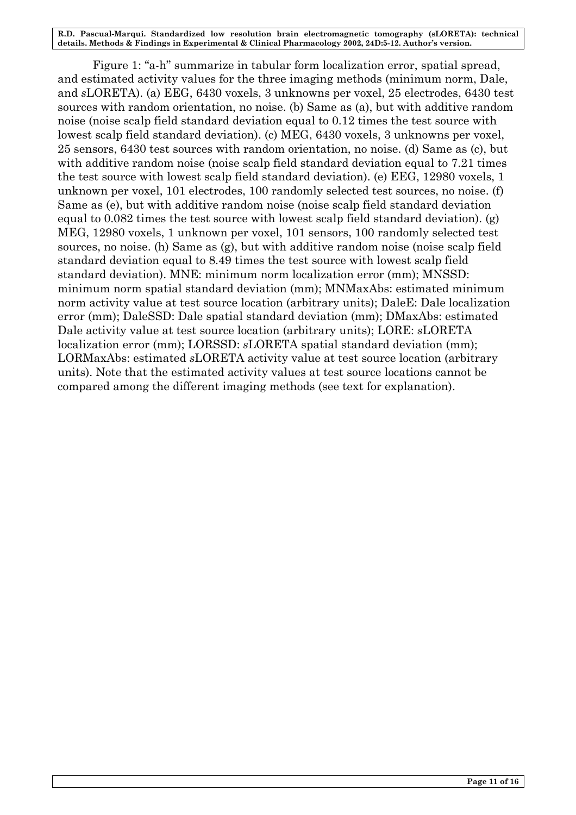Figure 1: "a-h" summarize in tabular form localization error, spatial spread, and estimated activity values for the three imaging methods (minimum norm, Dale, and *s*LORETA). (a) EEG, 6430 voxels, 3 unknowns per voxel, 25 electrodes, 6430 test sources with random orientation, no noise. (b) Same as (a), but with additive random noise (noise scalp field standard deviation equal to 0.12 times the test source with lowest scalp field standard deviation). (c) MEG, 6430 voxels, 3 unknowns per voxel, 25 sensors, 6430 test sources with random orientation, no noise. (d) Same as (c), but with additive random noise (noise scalp field standard deviation equal to 7.21 times the test source with lowest scalp field standard deviation). (e) EEG, 12980 voxels, 1 unknown per voxel, 101 electrodes, 100 randomly selected test sources, no noise. (f) Same as (e), but with additive random noise (noise scalp field standard deviation equal to  $0.082$  times the test source with lowest scalp field standard deviation). (g) MEG, 12980 voxels, 1 unknown per voxel, 101 sensors, 100 randomly selected test sources, no noise. (h) Same as (g), but with additive random noise (noise scalp field standard deviation equal to 8.49 times the test source with lowest scalp field standard deviation). MNE: minimum norm localization error (mm); MNSSD: minimum norm spatial standard deviation (mm); MNMaxAbs: estimated minimum norm activity value at test source location (arbitrary units); DaleE: Dale localization error (mm); DaleSSD: Dale spatial standard deviation (mm); DMaxAbs: estimated Dale activity value at test source location (arbitrary units); LORE: *s*LORETA localization error (mm); LORSSD: *s*LORETA spatial standard deviation (mm); LORMaxAbs: estimated *s*LORETA activity value at test source location (arbitrary units). Note that the estimated activity values at test source locations cannot be compared among the different imaging methods (see text for explanation).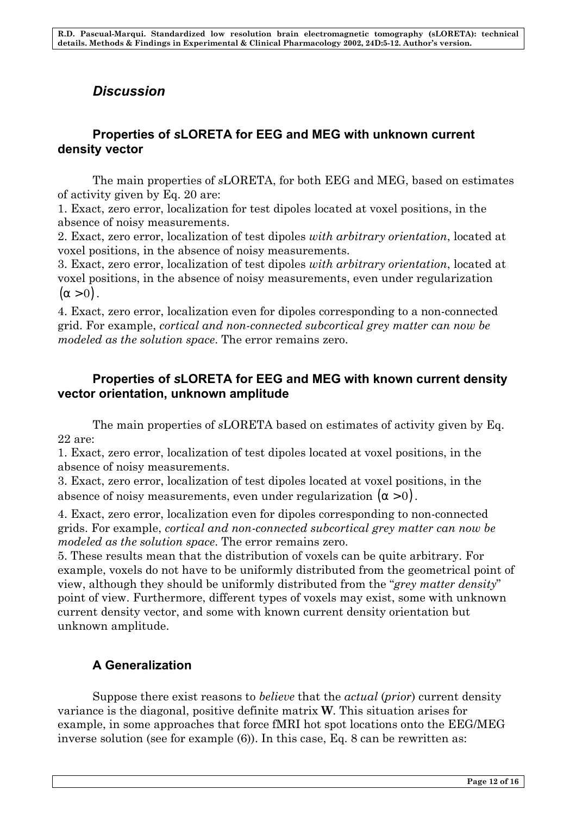# *Discussion*

#### **Properties of** *s***LORETA for EEG and MEG with unknown current density vector**

The main properties of *s*LORETA, for both EEG and MEG, based on estimates of activity given by Eq. 20 are:

1. Exact, zero error, localization for test dipoles located at voxel positions, in the absence of noisy measurements.

2. Exact, zero error, localization of test dipoles *with arbitrary orientation*, located at voxel positions, in the absence of noisy measurements.

3. Exact, zero error, localization of test dipoles *with arbitrary orientation*, located at voxel positions, in the absence of noisy measurements, even under regularization  $(a > 0)$ .

4. Exact, zero error, localization even for dipoles corresponding to a non-connected grid. For example, *cortical and non-connected subcortical grey matter can now be modeled as the solution space*. The error remains zero.

### **Properties of** *s***LORETA for EEG and MEG with known current density vector orientation, unknown amplitude**

The main properties of *s*LORETA based on estimates of activity given by Eq. 22 are:

1. Exact, zero error, localization of test dipoles located at voxel positions, in the absence of noisy measurements.

3. Exact, zero error, localization of test dipoles located at voxel positions, in the absence of noisy measurements, even under regularization (*a* > 0) .

4. Exact, zero error, localization even for dipoles corresponding to non-connected grids. For example, *cortical and non-connected subcortical grey matter can now be modeled as the solution space*. The error remains zero.

5. These results mean that the distribution of voxels can be quite arbitrary. For example, voxels do not have to be uniformly distributed from the geometrical point of view, although they should be uniformly distributed from the "*grey matter density*" point of view. Furthermore, different types of voxels may exist, some with unknown current density vector, and some with known current density orientation but unknown amplitude.

## **A Generalization**

Suppose there exist reasons to *believe* that the *actual* (*prior*) current density variance is the diagonal, positive definite matrix **W**. This situation arises for example, in some approaches that force fMRI hot spot locations onto the EEG/MEG inverse solution (see for example (6)). In this case, Eq. 8 can be rewritten as: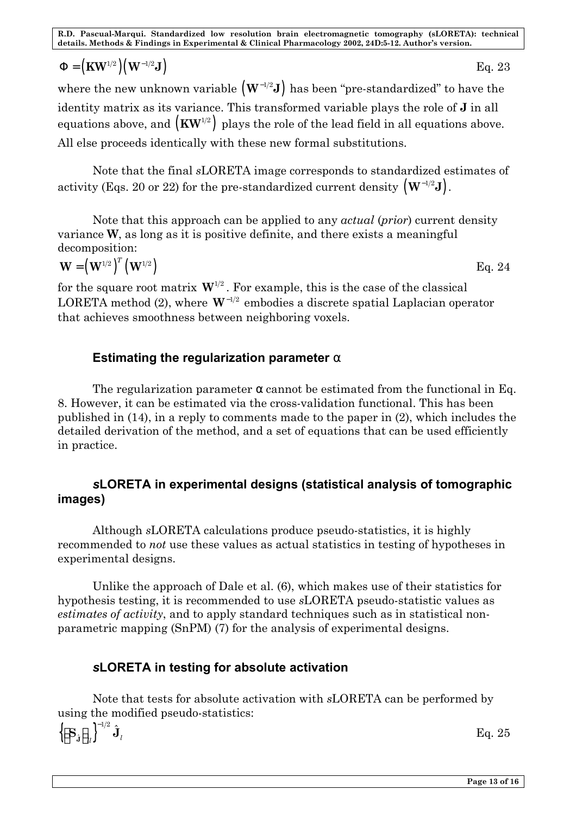# ${\bf F} = ({\bf K} {\bf W}^{1/2}) ({\bf W}^{-1/2} {\bf J})$  Eq. 23

where the new unknown variable  $(W^{-1/2}J)$  has been "pre-standardized" to have the identity matrix as its variance. This transformed variable plays the role of **J** in all equations above, and  $\left(\text{KW}^{\scriptscriptstyle 1/2}\right)$  plays the role of the lead field in all equations above. All else proceeds identically with these new formal substitutions.

Note that the final *s*LORETA image corresponds to standardized estimates of activity (Eqs. 20 or 22) for the pre-standardized current density  $\left(\mathbf{W}^{-1/2}\mathbf{J}\right)$ .

Note that this approach can be applied to any *actual* (*prior*) current density variance **W**, as long as it is positive definite, and there exists a meaningful decomposition:

$$
\mathbf{W} = \left(\mathbf{W}^{1/2}\right)^{T} \left(\mathbf{W}^{1/2}\right) \tag{Eq. 24}
$$

for the square root matrix  $W^{1/2}$ . For example, this is the case of the classical LORETA method (2), where  $W^{-1/2}$  embodies a discrete spatial Laplacian operator that achieves smoothness between neighboring voxels.

#### **Estimating the regularization parameter** *a*

The regularization parameter *a* cannot be estimated from the functional in Eq. 8. However, it can be estimated via the cross-validation functional. This has been published in (14), in a reply to comments made to the paper in (2), which includes the detailed derivation of the method, and a set of equations that can be used efficiently in practice.

## *s***LORETA in experimental designs (statistical analysis of tomographic images)**

Although *s*LORETA calculations produce pseudo-statistics, it is highly recommended to *not* use these values as actual statistics in testing of hypotheses in experimental designs.

Unlike the approach of Dale et al. (6), which makes use of their statistics for hypothesis testing, it is recommended to use *s*LORETA pseudo-statistic values as *estimates of activity*, and to apply standard techniques such as in statistical nonparametric mapping (SnPM) (7) for the analysis of experimental designs.

## *s***LORETA in testing for absolute activation**

Note that tests for absolute activation with *s*LORETA can be performed by using the modified pseudo-statistics:

 $\{ {\bf S}_{\hat{\mathbf{j}}} \mid_n \}$  $1/2$  $\left\{ \mathbf{J}_{ll}\right\} ^{-1/2}\hat{\mathbf{J}}_{ll}$  $\left[ \mathbf{S}_{\mathbf{j}} \right]_{ll} \right]^{-1/2} \hat{\mathbf{J}}_{l}$  Eq. 25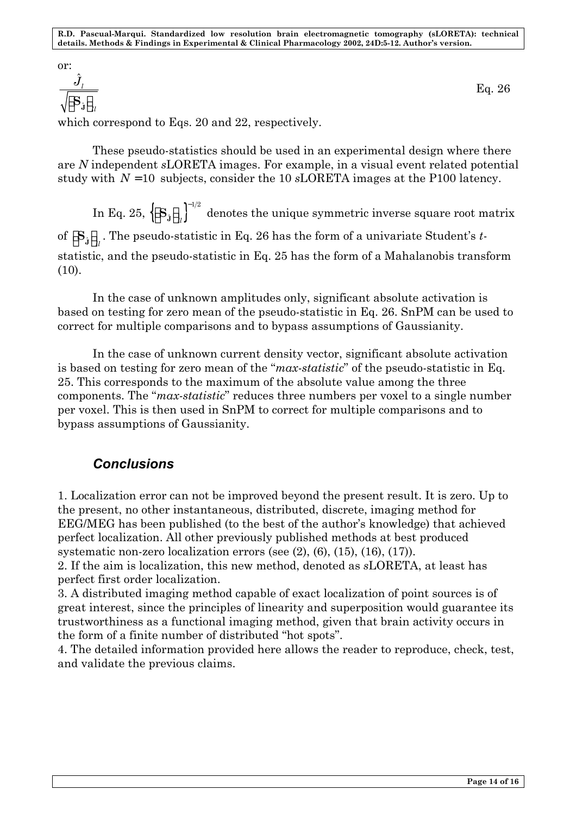or:

ˆ  $\hat{\bm{J}}_l$ *ll J*  $\left[ \textbf{S}_{\hat{\textbf{\j}}}\right]$ which correspond to Eqs. 20 and 22, respectively.

These pseudo-statistics should be used in an experimental design where there are *N* independent *s*LORETA images. For example, in a visual event related potential study with *N* = 10 subjects, consider the 10 *s*LORETA images at the P100 latency.

In Eq. 25,  $\left\{ \left[ \textbf{S}_\textbf{j} \right]_n \right\}^{-1/2}$  $\hat{\textbf{\j}}$   $\lrcorner_{ll}$  $\left[\mathbf{S}_{\hat{\boldsymbol{j}}}\right]_{\! \! \! \scriptscriptstyle II} \right]^{\! \! \! \! \textrm{-} 1/2}$  denotes the unique symmetric inverse square root matrix of  $\left[\mathbf{S}_\mathbf{j}\right]_{ll}$  . The pseudo-statistic in Eq. 26 has the form of a univariate Student's  $t$ statistic, and the pseudo-statistic in Eq. 25 has the form of a Mahalanobis transform  $(10).$ 

In the case of unknown amplitudes only, significant absolute activation is based on testing for zero mean of the pseudo-statistic in Eq. 26. SnPM can be used to correct for multiple comparisons and to bypass assumptions of Gaussianity.

In the case of unknown current density vector, significant absolute activation is based on testing for zero mean of the "*max-statistic*" of the pseudo-statistic in Eq. 25. This corresponds to the maximum of the absolute value among the three components. The "*max-statistic*" reduces three numbers per voxel to a single number per voxel. This is then used in SnPM to correct for multiple comparisons and to bypass assumptions of Gaussianity.

## *Conclusions*

1. Localization error can not be improved beyond the present result. It is zero. Up to the present, no other instantaneous, distributed, discrete, imaging method for EEG/MEG has been published (to the best of the author's knowledge) that achieved perfect localization. All other previously published methods at best produced systematic non-zero localization errors (see (2), (6), (15), (16), (17)).

2. If the aim is localization, this new method, denoted as *s*LORETA, at least has perfect first order localization.

3. A distributed imaging method capable of exact localization of point sources is of great interest, since the principles of linearity and superposition would guarantee its trustworthiness as a functional imaging method, given that brain activity occurs in the form of a finite number of distributed "hot spots".

4. The detailed information provided here allows the reader to reproduce, check, test, and validate the previous claims.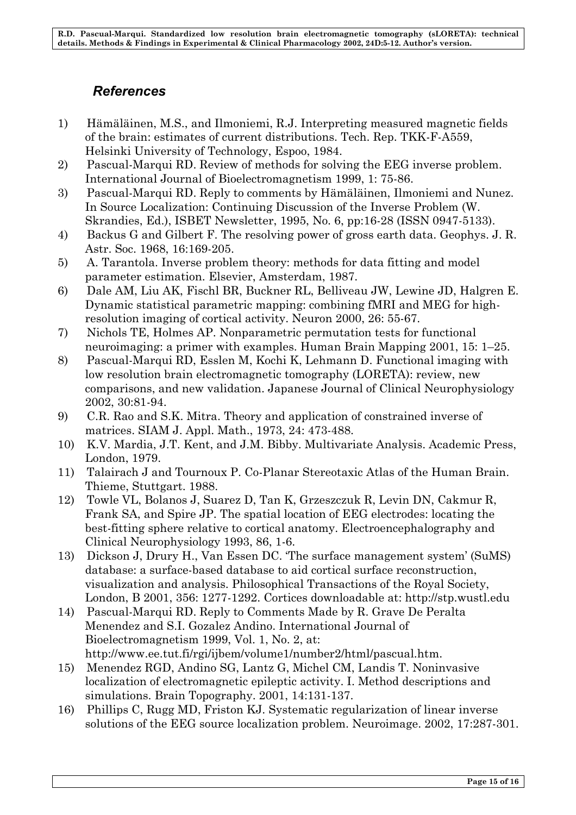# *References*

- 1) Hämäläinen, M.S., and Ilmoniemi, R.J. Interpreting measured magnetic fields of the brain: estimates of current distributions. Tech. Rep. TKK-F-A559, Helsinki University of Technology, Espoo, 1984.
- 2) Pascual-Marqui RD. Review of methods for solving the EEG inverse problem. International Journal of Bioelectromagnetism 1999, 1: 75-86.
- 3) Pascual-Marqui RD. Reply to comments by Hämäläinen, Ilmoniemi and Nunez. In Source Localization: Continuing Discussion of the Inverse Problem (W. Skrandies, Ed.), ISBET Newsletter, 1995, No. 6, pp:16-28 (ISSN 0947-5133).
- 4) Backus G and Gilbert F. The resolving power of gross earth data. Geophys. J. R. Astr. Soc. 1968, 16:169-205.
- 5) A. Tarantola. Inverse problem theory: methods for data fitting and model parameter estimation. Elsevier, Amsterdam, 1987.
- 6) Dale AM, Liu AK, Fischl BR, Buckner RL, Belliveau JW, Lewine JD, Halgren E. Dynamic statistical parametric mapping: combining fMRI and MEG for highresolution imaging of cortical activity. Neuron 2000, 26: 55-67.
- 7) Nichols TE, Holmes AP. Nonparametric permutation tests for functional neuroimaging: a primer with examples. Human Brain Mapping 2001, 15: 1–25.
- 8) Pascual-Marqui RD, Esslen M, Kochi K, Lehmann D. Functional imaging with low resolution brain electromagnetic tomography (LORETA): review, new comparisons, and new validation. Japanese Journal of Clinical Neurophysiology 2002, 30:81-94.
- 9) C.R. Rao and S.K. Mitra. Theory and application of constrained inverse of matrices. SIAM J. Appl. Math., 1973, 24: 473-488.
- 10) K.V. Mardia, J.T. Kent, and J.M. Bibby. Multivariate Analysis. Academic Press, London, 1979.
- 11) Talairach J and Tournoux P. Co-Planar Stereotaxic Atlas of the Human Brain. Thieme, Stuttgart. 1988.
- 12) Towle VL, Bolanos J, Suarez D, Tan K, Grzeszczuk R, Levin DN, Cakmur R, Frank SA, and Spire JP. The spatial location of EEG electrodes: locating the best-fitting sphere relative to cortical anatomy. Electroencephalography and Clinical Neurophysiology 1993, 86, 1-6.
- 13) Dickson J, Drury H., Van Essen DC. 'The surface management system' (SuMS) database: a surface-based database to aid cortical surface reconstruction, visualization and analysis. Philosophical Transactions of the Royal Society, London, B 2001, 356: 1277-1292. Cortices downloadable at: http://stp.wustl.edu
- 14) Pascual-Marqui RD. Reply to Comments Made by R. Grave De Peralta Menendez and S.I. Gozalez Andino. International Journal of Bioelectromagnetism 1999, Vol. 1, No. 2, at: http://www.ee.tut.fi/rgi/ijbem/volume1/number2/html/pascual.htm.
- 15) Menendez RGD, Andino SG, Lantz G, Michel CM, Landis T. Noninvasive localization of electromagnetic epileptic activity. I. Method descriptions and simulations. Brain Topography. 2001, 14:131-137.
- 16) Phillips C, Rugg MD, Friston KJ. Systematic regularization of linear inverse solutions of the EEG source localization problem. Neuroimage. 2002, 17:287-301.